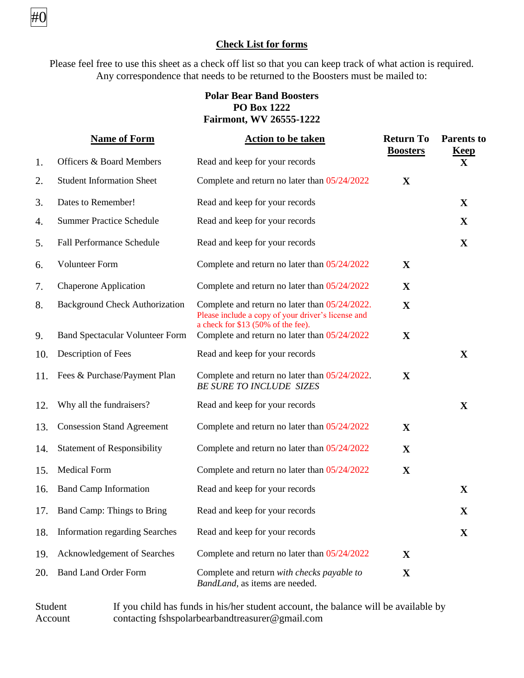### **Check List for forms**

#0

Please feel free to use this sheet as a check off list so that you can keep track of what action is required. Any correspondence that needs to be returned to the Boosters must be mailed to:

#### **Polar Bear Band Boosters PO Box 1222 Fairmont, WV 26555-1222**

|     | <b>Name of Form</b>                    | <b>Action to be taken</b>                                                                                                                 | <b>Return To</b><br><b>Boosters</b> | <b>Parents</b> to<br><b>Keep</b> |
|-----|----------------------------------------|-------------------------------------------------------------------------------------------------------------------------------------------|-------------------------------------|----------------------------------|
| 1.  | <b>Officers &amp; Board Members</b>    | Read and keep for your records                                                                                                            |                                     | $\mathbf{X}$                     |
| 2.  | <b>Student Information Sheet</b>       | Complete and return no later than 05/24/2022                                                                                              | X                                   |                                  |
| 3.  | Dates to Remember!                     | Read and keep for your records                                                                                                            |                                     | $\mathbf{X}$                     |
| 4.  | <b>Summer Practice Schedule</b>        | Read and keep for your records                                                                                                            |                                     | X                                |
| 5.  | <b>Fall Performance Schedule</b>       | Read and keep for your records                                                                                                            |                                     | X                                |
| 6.  | <b>Volunteer Form</b>                  | Complete and return no later than 05/24/2022                                                                                              | X                                   |                                  |
| 7.  | <b>Chaperone Application</b>           | Complete and return no later than 05/24/2022                                                                                              | $\mathbf X$                         |                                  |
| 8.  | <b>Background Check Authorization</b>  | Complete and return no later than 05/24/2022.<br>Please include a copy of your driver's license and<br>a check for \$13 (50% of the fee). | $\mathbf X$                         |                                  |
| 9.  | <b>Band Spectacular Volunteer Form</b> | Complete and return no later than 05/24/2022                                                                                              | X                                   |                                  |
| 10. | Description of Fees                    | Read and keep for your records                                                                                                            |                                     | $\mathbf X$                      |
| 11. | Fees & Purchase/Payment Plan           | Complete and return no later than 05/24/2022.<br><b>BE SURE TO INCLUDE SIZES</b>                                                          | X                                   |                                  |
| 12. | Why all the fundraisers?               | Read and keep for your records                                                                                                            |                                     | X                                |
| 13. | <b>Consession Stand Agreement</b>      | Complete and return no later than 05/24/2022                                                                                              | X                                   |                                  |
| 14. | <b>Statement of Responsibility</b>     | Complete and return no later than 05/24/2022                                                                                              | $\mathbf X$                         |                                  |
| 15. | <b>Medical Form</b>                    | Complete and return no later than 05/24/2022                                                                                              | $\mathbf X$                         |                                  |
| 16. | <b>Band Camp Information</b>           | Read and keep for your records                                                                                                            |                                     | $\mathbf{X}$                     |
| 17. | Band Camp: Things to Bring             | Read and keep for your records                                                                                                            |                                     | $\mathbf X$                      |
| 18. | <b>Information regarding Searches</b>  | Read and keep for your records                                                                                                            |                                     | X                                |
| 19. | Acknowledgement of Searches            | Complete and return no later than 05/24/2022                                                                                              | X                                   |                                  |
| 20. | <b>Band Land Order Form</b>            | Complete and return with checks payable to<br>BandLand, as items are needed.                                                              | $\mathbf X$                         |                                  |

Student Account If you child has funds in his/her student account, the balance will be available by contacting fshspolarbearbandtreasurer@gmail.com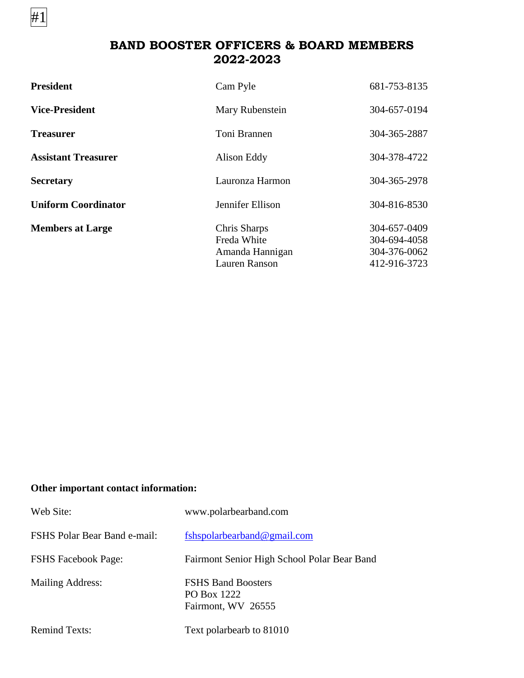**BAND BOOSTER OFFICERS & BOARD MEMBERS 2022-2023** 

| <b>President</b>           | Cam Pyle                                                        | 681-753-8135                                                 |
|----------------------------|-----------------------------------------------------------------|--------------------------------------------------------------|
| <b>Vice-President</b>      | Mary Rubenstein                                                 | 304-657-0194                                                 |
| <b>Treasurer</b>           | Toni Brannen                                                    | 304-365-2887                                                 |
| <b>Assistant Treasurer</b> | Alison Eddy                                                     | 304-378-4722                                                 |
| <b>Secretary</b>           | Lauronza Harmon                                                 | 304-365-2978                                                 |
| <b>Uniform Coordinator</b> | Jennifer Ellison                                                | 304-816-8530                                                 |
| <b>Members at Large</b>    | Chris Sharps<br>Freda White<br>Amanda Hannigan<br>Lauren Ranson | 304-657-0409<br>304-694-4058<br>304-376-0062<br>412-916-3723 |

### **Other important contact information:**

#1

| Web Site:                    | www.polarbearband.com                                          |
|------------------------------|----------------------------------------------------------------|
| FSHS Polar Bear Band e-mail: | fshspolarbearband@gmail.com                                    |
| <b>FSHS Facebook Page:</b>   | Fairmont Senior High School Polar Bear Band                    |
| <b>Mailing Address:</b>      | <b>FSHS Band Boosters</b><br>PO Box 1222<br>Fairmont, WV 26555 |
| <b>Remind Texts:</b>         | Text polarbearb to 81010                                       |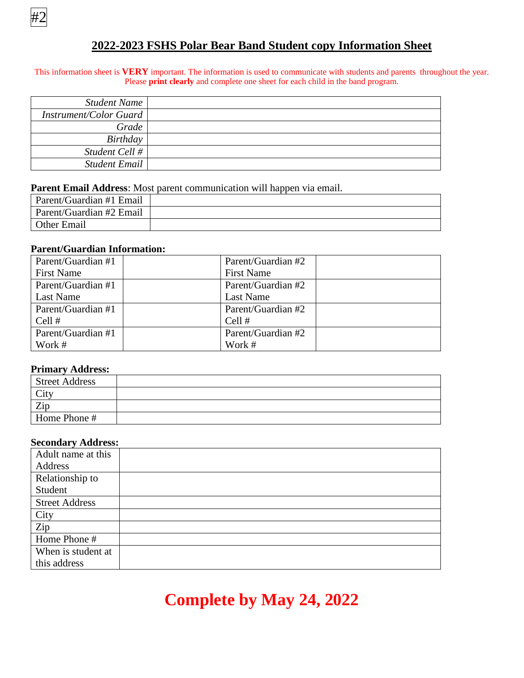

### **2022-2023 FSHS Polar Bear Band Student copy Information Sheet**

#### This information sheet is **VERY** important. The information is used to communicate with students and parents throughout the year. Please **print clearly** and complete one sheet for each child in the band program.

| Student Name           |  |
|------------------------|--|
| Instrument/Color Guard |  |
| Grade                  |  |
| Birthday               |  |
| Student Cell #         |  |
| Student Email          |  |

#### **Parent Email Address**: Most parent communication will happen via email.

| Parent/Guardian #1 Email |  |
|--------------------------|--|
| Parent/Guardian #2 Email |  |
| <b>Other Email</b>       |  |

#### **Parent/Guardian Information:**

| Parent/Guardian #1 | Parent/Guardian #2 |  |
|--------------------|--------------------|--|
| <b>First Name</b>  | <b>First Name</b>  |  |
| Parent/Guardian #1 | Parent/Guardian #2 |  |
| Last Name          | Last Name          |  |
| Parent/Guardian #1 | Parent/Guardian #2 |  |
| Cell #             | Cell $#$           |  |
| Parent/Guardian #1 | Parent/Guardian #2 |  |
| Work #             | Work #             |  |

#### **Primary Address:**

| <b>Street Address</b> |  |
|-----------------------|--|
| City                  |  |
| Zip                   |  |
| Home Phone #          |  |

#### **Secondary Address:**

| Adult name at this    |  |
|-----------------------|--|
| Address               |  |
| Relationship to       |  |
| Student               |  |
| <b>Street Address</b> |  |
| City                  |  |
| Zip                   |  |
| Home Phone #          |  |
| When is student at    |  |
| this address          |  |

## **Complete by May 24, 2022**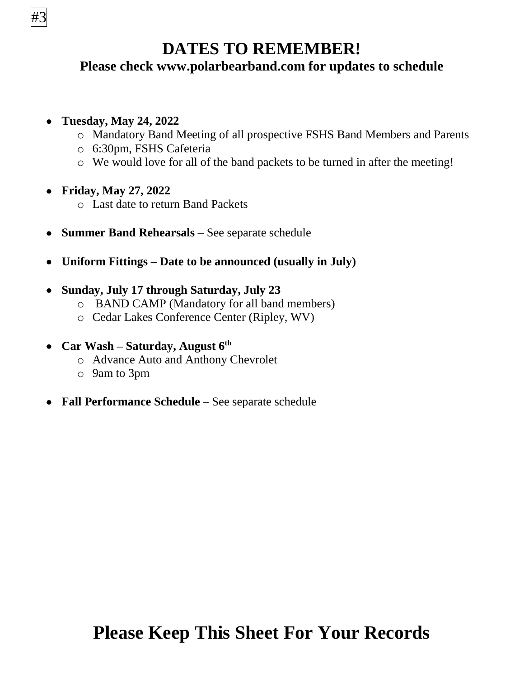

## **DATES TO REMEMBER!**

## **Please check www.polarbearband.com for updates to schedule**

## **Tuesday, May 24, 2022**

- o Mandatory Band Meeting of all prospective FSHS Band Members and Parents
- o 6:30pm, FSHS Cafeteria
- o We would love for all of the band packets to be turned in after the meeting!
- **Friday, May 27, 2022**
	- o Last date to return Band Packets
- **Summer Band Rehearsals** See separate schedule
- **Uniform Fittings – Date to be announced (usually in July)**

### **Sunday, July 17 through Saturday, July 23**

- o BAND CAMP (Mandatory for all band members)
- o Cedar Lakes Conference Center (Ripley, WV)
- **Car Wash – Saturday, August 6 th**
	- o Advance Auto and Anthony Chevrolet
	- o 9am to 3pm
- **Fall Performance Schedule** See separate schedule

# **Please Keep This Sheet For Your Records**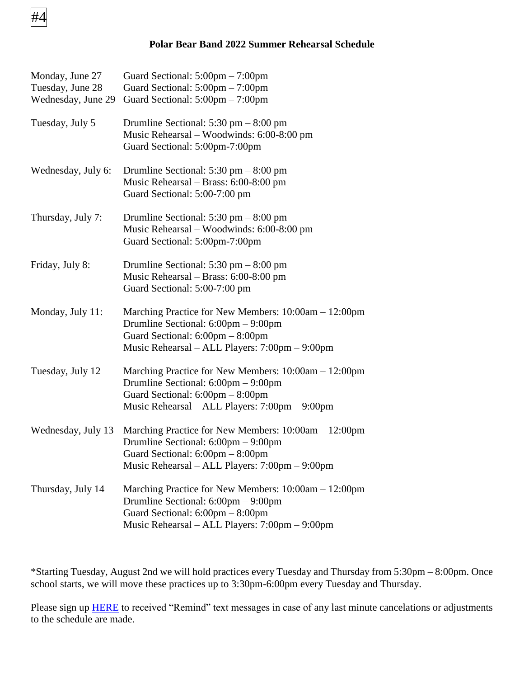

#### **Polar Bear Band 2022 Summer Rehearsal Schedule**

| Monday, June 27<br>Tuesday, June 28<br>Wednesday, June 29 | Guard Sectional: $5:00 \text{pm} - 7:00 \text{pm}$<br>Guard Sectional: $5:00 \text{pm} - 7:00 \text{pm}$<br>Guard Sectional: $5:00 \text{pm} - 7:00 \text{pm}$                                                        |
|-----------------------------------------------------------|-----------------------------------------------------------------------------------------------------------------------------------------------------------------------------------------------------------------------|
| Tuesday, July 5                                           | Drumline Sectional: $5:30 \text{ pm} - 8:00 \text{ pm}$<br>Music Rehearsal – Woodwinds: 6:00-8:00 pm<br>Guard Sectional: 5:00pm-7:00pm                                                                                |
| Wednesday, July 6:                                        | Drumline Sectional: $5:30 \text{ pm} - 8:00 \text{ pm}$<br>Music Rehearsal - Brass: 6:00-8:00 pm<br>Guard Sectional: 5:00-7:00 pm                                                                                     |
| Thursday, July 7:                                         | Drumline Sectional: $5:30 \text{ pm} - 8:00 \text{ pm}$<br>Music Rehearsal – Woodwinds: 6:00-8:00 pm<br>Guard Sectional: 5:00pm-7:00pm                                                                                |
| Friday, July 8:                                           | Drumline Sectional: $5:30 \text{ pm} - 8:00 \text{ pm}$<br>Music Rehearsal - Brass: 6:00-8:00 pm<br>Guard Sectional: 5:00-7:00 pm                                                                                     |
| Monday, July 11:                                          | Marching Practice for New Members: 10:00am - 12:00pm<br>Drumline Sectional: 6:00pm - 9:00pm<br>Guard Sectional: 6:00pm - 8:00pm<br>Music Rehearsal – ALL Players: 7:00pm – 9:00pm                                     |
| Tuesday, July 12                                          | Marching Practice for New Members: 10:00am – 12:00pm<br>Drumline Sectional: $6:00 \text{pm} - 9:00 \text{pm}$<br>Guard Sectional: $6:00 \text{pm} - 8:00 \text{pm}$<br>Music Rehearsal – ALL Players: 7:00pm – 9:00pm |
| Wednesday, July 13                                        | Marching Practice for New Members: 10:00am - 12:00pm<br>Drumline Sectional: $6:00 \text{pm} - 9:00 \text{pm}$<br>Guard Sectional: $6:00 \text{pm} - 8:00 \text{pm}$<br>Music Rehearsal – ALL Players: 7:00pm – 9:00pm |
| Thursday, July 14                                         | Marching Practice for New Members: $10:00$ am $- 12:00$ pm<br>Drumline Sectional: $6:00 \text{pm} - 9:00 \text{pm}$<br>Guard Sectional: 6:00pm - 8:00pm<br>Music Rehearsal - ALL Players: 7:00pm - 9:00pm             |

\*Starting Tuesday, August 2nd we will hold practices every Tuesday and Thursday from 5:30pm – 8:00pm. Once school starts, we will move these practices up to 3:30pm-6:00pm every Tuesday and Thursday.

Please sign up **HERE** to received "Remind" text messages in case of any last minute cancelations or adjustments to the schedule are made.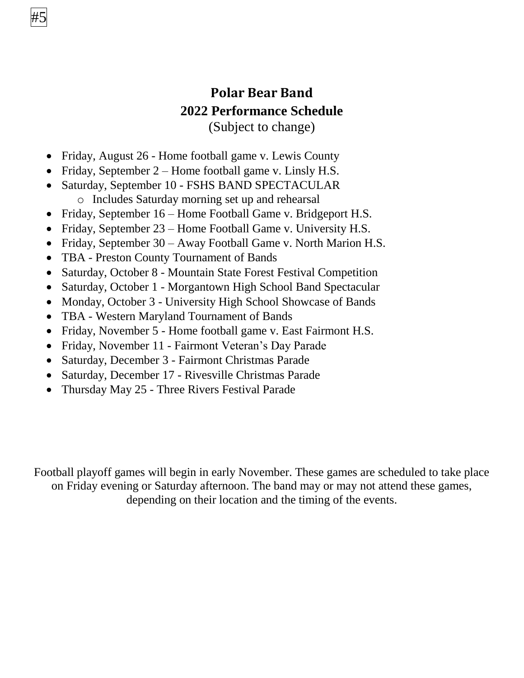## **Polar Bear Band 2022 Performance Schedule** (Subject to change)

- Friday, August 26 Home football game v. Lewis County
- Friday, September  $2 -$  Home football game v. Linsly H.S.
- Saturday, September 10 FSHS BAND SPECTACULAR o Includes Saturday morning set up and rehearsal
- Friday, September 16 Home Football Game v. Bridgeport H.S.
- Friday, September 23 Home Football Game v. University H.S.
- Friday, September 30 Away Football Game v. North Marion H.S.
- TBA Preston County Tournament of Bands

#5

- Saturday, October 8 Mountain State Forest Festival Competition
- Saturday, October 1 Morgantown High School Band Spectacular
- Monday, October 3 University High School Showcase of Bands
- TBA Western Maryland Tournament of Bands
- Friday, November 5 Home football game v. East Fairmont H.S.
- Friday, November 11 Fairmont Veteran's Day Parade
- Saturday, December 3 Fairmont Christmas Parade
- Saturday, December 17 Rivesville Christmas Parade
- Thursday May 25 Three Rivers Festival Parade

Football playoff games will begin in early November. These games are scheduled to take place on Friday evening or Saturday afternoon. The band may or may not attend these games, depending on their location and the timing of the events.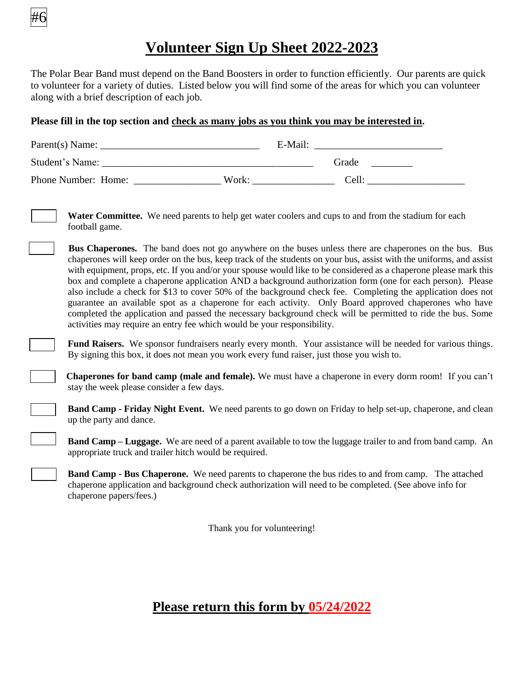

## **Volunteer Sign Up Sheet 2022-2023**

The Polar Bear Band must depend on the Band Boosters in order to function efficiently. Our parents are quick to volunteer for a variety of duties. Listed below you will find some of the areas for which you can volunteer along with a brief description of each job.

#### **Please fill in the top section and check as many jobs as you think you may be interested in.**

| Parent(s) Name:     |       | E-Mail: |  |
|---------------------|-------|---------|--|
| Student's Name:     |       | Grade   |  |
| Phone Number: Home: | Work: | Cell:   |  |

**Water Committee.** We need parents to help get water coolers and cups to and from the stadium for each football game.

 **Bus Chaperones.** The band does not go anywhere on the buses unless there are chaperones on the bus. Bus chaperones will keep order on the bus, keep track of the students on your bus, assist with the uniforms, and assist with equipment, props, etc. If you and/or your spouse would like to be considered as a chaperone please mark this box and complete a chaperone application AND a background authorization form (one for each person). Please also include a check for \$13 to cover 50% of the background check fee. Completing the application does not guarantee an available spot as a chaperone for each activity. Only Board approved chaperones who have completed the application and passed the necessary background check will be permitted to ride the bus. Some activities may require an entry fee which would be your responsibility.

 **Fund Raisers.** We sponsor fundraisers nearly every month. Your assistance will be needed for various things. By signing this box, it does not mean you work every fund raiser, just those you wish to.

 **Chaperones for band camp (male and female).** We must have a chaperone in every dorm room! If you can't stay the week please consider a few days.

 **Band Camp - Friday Night Event.** We need parents to go down on Friday to help set-up, chaperone, and clean up the party and dance.

**Band Camp – Luggage.** We are need of a parent available to tow the luggage trailer to and from band camp. An appropriate truck and trailer hitch would be required.

**Band Camp - Bus Chaperone.** We need parents to chaperone the bus rides to and from camp. The attached chaperone application and background check authorization will need to be completed. (See above info for chaperone papers/fees.)

Thank you for volunteering!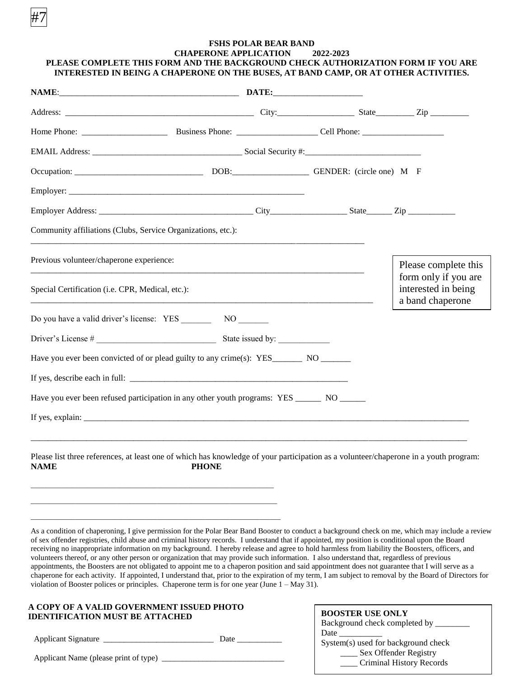#### **FSHS POLAR BEAR BAND CHAPERONE APPLICATION 2022-2023 PLEASE COMPLETE THIS FORM AND THE BACKGROUND CHECK AUTHORIZATION FORM IF YOU ARE INTERESTED IN BEING A CHAPERONE ON THE BUSES, AT BAND CAMP, OR AT OTHER ACTIVITIES.**

|                                                  | Employer Address: City State Zip                                                                                                                                                                                                                                                                                                                                                                                                                                                                                                                                                                                                                                                                                                                                                                                                                                                                                                                                                                                                                                    |                         |                                                                  |
|--------------------------------------------------|---------------------------------------------------------------------------------------------------------------------------------------------------------------------------------------------------------------------------------------------------------------------------------------------------------------------------------------------------------------------------------------------------------------------------------------------------------------------------------------------------------------------------------------------------------------------------------------------------------------------------------------------------------------------------------------------------------------------------------------------------------------------------------------------------------------------------------------------------------------------------------------------------------------------------------------------------------------------------------------------------------------------------------------------------------------------|-------------------------|------------------------------------------------------------------|
|                                                  | Community affiliations (Clubs, Service Organizations, etc.):                                                                                                                                                                                                                                                                                                                                                                                                                                                                                                                                                                                                                                                                                                                                                                                                                                                                                                                                                                                                        |                         |                                                                  |
| Previous volunteer/chaperone experience:         |                                                                                                                                                                                                                                                                                                                                                                                                                                                                                                                                                                                                                                                                                                                                                                                                                                                                                                                                                                                                                                                                     |                         | Please complete this                                             |
| Special Certification (i.e. CPR, Medical, etc.): |                                                                                                                                                                                                                                                                                                                                                                                                                                                                                                                                                                                                                                                                                                                                                                                                                                                                                                                                                                                                                                                                     |                         | form only if you are<br>interested in being<br>a band chaperone  |
|                                                  |                                                                                                                                                                                                                                                                                                                                                                                                                                                                                                                                                                                                                                                                                                                                                                                                                                                                                                                                                                                                                                                                     |                         |                                                                  |
|                                                  |                                                                                                                                                                                                                                                                                                                                                                                                                                                                                                                                                                                                                                                                                                                                                                                                                                                                                                                                                                                                                                                                     |                         |                                                                  |
|                                                  | Have you ever been convicted of or plead guilty to any crime(s): YES___________ NO ________                                                                                                                                                                                                                                                                                                                                                                                                                                                                                                                                                                                                                                                                                                                                                                                                                                                                                                                                                                         |                         |                                                                  |
|                                                  |                                                                                                                                                                                                                                                                                                                                                                                                                                                                                                                                                                                                                                                                                                                                                                                                                                                                                                                                                                                                                                                                     |                         |                                                                  |
|                                                  | Have you ever been refused participation in any other youth programs: YES _______ NO ______                                                                                                                                                                                                                                                                                                                                                                                                                                                                                                                                                                                                                                                                                                                                                                                                                                                                                                                                                                         |                         |                                                                  |
|                                                  |                                                                                                                                                                                                                                                                                                                                                                                                                                                                                                                                                                                                                                                                                                                                                                                                                                                                                                                                                                                                                                                                     |                         |                                                                  |
| <b>NAME</b>                                      | Please list three references, at least one of which has knowledge of your participation as a volunteer/chaperone in a youth program:<br><b>PHONE</b>                                                                                                                                                                                                                                                                                                                                                                                                                                                                                                                                                                                                                                                                                                                                                                                                                                                                                                                |                         |                                                                  |
|                                                  | As a condition of chaperoning, I give permission for the Polar Bear Band Booster to conduct a background check on me, which may include a review<br>of sex offender registries, child abuse and criminal history records. I understand that if appointed, my position is conditional upon the Board<br>receiving no inappropriate information on my background. I hereby release and agree to hold harmless from liability the Boosters, officers, and<br>volunteers thereof, or any other person or organization that may provide such information. I also understand that, regardless of previous<br>appointments, the Boosters are not obligated to appoint me to a chaperon position and said appointment does not guarantee that I will serve as a<br>chaperone for each activity. If appointed, I understand that, prior to the expiration of my term, I am subject to removal by the Board of Directors for<br>violation of Booster polices or principles. Chaperone term is for one year (June $1 - May 31$ ).<br>A COPY OF A VALID GOVERNMENT ISSUED PHOTO |                         |                                                                  |
| <b>IDENTIFICATION MUST BE ATTACHED</b>           |                                                                                                                                                                                                                                                                                                                                                                                                                                                                                                                                                                                                                                                                                                                                                                                                                                                                                                                                                                                                                                                                     | <b>BOOSTER USE ONLY</b> | Background check completed by ________                           |
|                                                  |                                                                                                                                                                                                                                                                                                                                                                                                                                                                                                                                                                                                                                                                                                                                                                                                                                                                                                                                                                                                                                                                     |                         | System(s) used for background check<br>___ Sex Offender Registry |

Applicant Name (please print of type) \_

#7

\_\_\_\_ Criminal History Records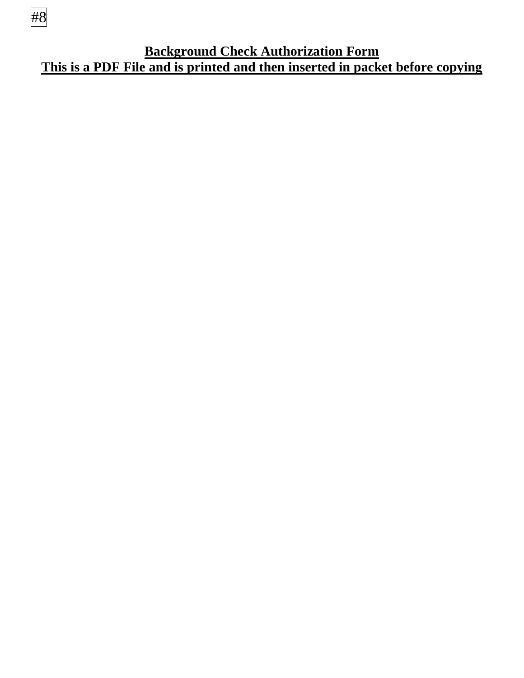

**Background Check Authorization Form This is a PDF File and is printed and then inserted in packet before copying**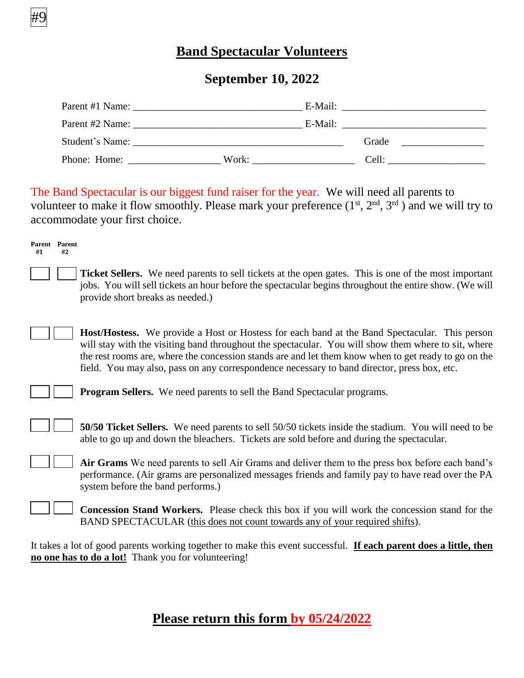## **Band Spectacular Volunteers**

### **September 10, 2022**

| Parent #1 Name: | E-Mail: |       |
|-----------------|---------|-------|
| Parent #2 Name: | E-Mail: |       |
| Student's Name: |         | Grade |
| Phone: Home:    | Work:   | Cell: |

The Band Spectacular is our biggest fund raiser for the year. We will need all parents to volunteer to make it flow smoothly. Please mark your preference  $(1<sup>st</sup>, 2<sup>nd</sup>, 3<sup>rd</sup>)$  and we will try to accommodate your first choice.

 **Ticket Sellers.** We need parents to sell tickets at the open gates. This is one of the most important jobs. You will sell tickets an hour before the spectacular begins throughout the entire show. (We will provide short breaks as needed.)

 **Host/Hostess.** We provide a Host or Hostess for each band at the Band Spectacular. This person will stay with the visiting band throughout the spectacular. You will show them where to sit, where the rest rooms are, where the concession stands are and let them know when to get ready to go on the field. You may also, pass on any correspondence necessary to band director, press box, etc.

**Parent Parent #1 #2**

#9

**Program Sellers.** We need parents to sell the Band Spectacular programs.

 **50/50 Ticket Sellers.** We need parents to sell 50/50 tickets inside the stadium. You will need to be able to go up and down the bleachers. Tickets are sold before and during the spectacular.

 **Air Grams** We need parents to sell Air Grams and deliver them to the press box before each band's performance. (Air grams are personalized messages friends and family pay to have read over the PA system before the band performs.)

 **Concession Stand Workers.** Please check this box if you will work the concession stand for the BAND SPECTACULAR (this does not count towards any of your required shifts).

It takes a lot of good parents working together to make this event successful. **If each parent does a little, then no one has to do a lot!** Thank you for volunteering!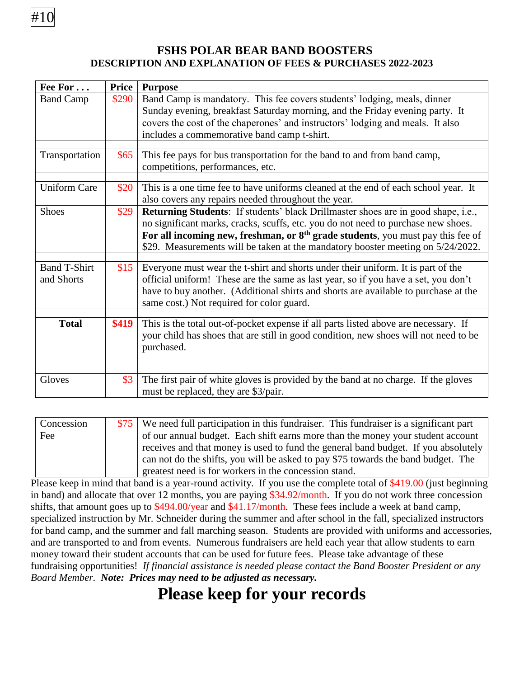### **FSHS POLAR BEAR BAND BOOSTERS DESCRIPTION AND EXPLANATION OF FEES & PURCHASES 2022-2023**

| Fee For                           | <b>Price</b> | <b>Purpose</b>                                                                                                                                                                                                                                                                                                                                         |
|-----------------------------------|--------------|--------------------------------------------------------------------------------------------------------------------------------------------------------------------------------------------------------------------------------------------------------------------------------------------------------------------------------------------------------|
| <b>Band Camp</b>                  | \$290        | Band Camp is mandatory. This fee covers students' lodging, meals, dinner<br>Sunday evening, breakfast Saturday morning, and the Friday evening party. It<br>covers the cost of the chaperones' and instructors' lodging and meals. It also<br>includes a commemorative band camp t-shirt.                                                              |
|                                   |              |                                                                                                                                                                                                                                                                                                                                                        |
| Transportation                    | \$65         | This fee pays for bus transportation for the band to and from band camp,<br>competitions, performances, etc.                                                                                                                                                                                                                                           |
|                                   |              |                                                                                                                                                                                                                                                                                                                                                        |
| <b>Uniform Care</b>               | \$20         | This is a one time fee to have uniforms cleaned at the end of each school year. It<br>also covers any repairs needed throughout the year.                                                                                                                                                                                                              |
| <b>Shoes</b>                      | \$29         | <b>Returning Students</b> : If students' black Drillmaster shoes are in good shape, i.e.,<br>no significant marks, cracks, scuffs, etc. you do not need to purchase new shoes.<br>For all incoming new, freshman, or $8th$ grade students, you must pay this fee of<br>\$29. Measurements will be taken at the mandatory booster meeting on 5/24/2022. |
|                                   |              |                                                                                                                                                                                                                                                                                                                                                        |
| <b>Band T-Shirt</b><br>and Shorts | \$15         | Everyone must wear the t-shirt and shorts under their uniform. It is part of the<br>official uniform! These are the same as last year, so if you have a set, you don't<br>have to buy another. (Additional shirts and shorts are available to purchase at the<br>same cost.) Not required for color guard.                                             |
|                                   |              |                                                                                                                                                                                                                                                                                                                                                        |
| <b>Total</b>                      | \$419        | This is the total out-of-pocket expense if all parts listed above are necessary. If<br>your child has shoes that are still in good condition, new shoes will not need to be<br>purchased.                                                                                                                                                              |
|                                   |              |                                                                                                                                                                                                                                                                                                                                                        |
| Gloves                            | \$3          | The first pair of white gloves is provided by the band at no charge. If the gloves<br>must be replaced, they are \$3/pair.                                                                                                                                                                                                                             |

| Concession | \$75 We need full participation in this fundraiser. This fundraiser is a significant part |
|------------|-------------------------------------------------------------------------------------------|
| Fee        | of our annual budget. Each shift earns more than the money your student account           |
|            | receives and that money is used to fund the general band budget. If you absolutely        |
|            | can not do the shifts, you will be asked to pay \$75 towards the band budget. The         |
|            | greatest need is for workers in the concession stand.                                     |

Please keep in mind that band is a year-round activity. If you use the complete total of \$419.00 (just beginning in band) and allocate that over 12 months, you are paying \$34.92/month. If you do not work three concession shifts, that amount goes up to \$494.00/year and \$41.17/month. These fees include a week at band camp, specialized instruction by Mr. Schneider during the summer and after school in the fall, specialized instructors for band camp, and the summer and fall marching season. Students are provided with uniforms and accessories, and are transported to and from events. Numerous fundraisers are held each year that allow students to earn money toward their student accounts that can be used for future fees. Please take advantage of these fundraising opportunities! *If financial assistance is needed please contact the Band Booster President or any Board Member. Note: Prices may need to be adjusted as necessary.*

## **Please keep for your records**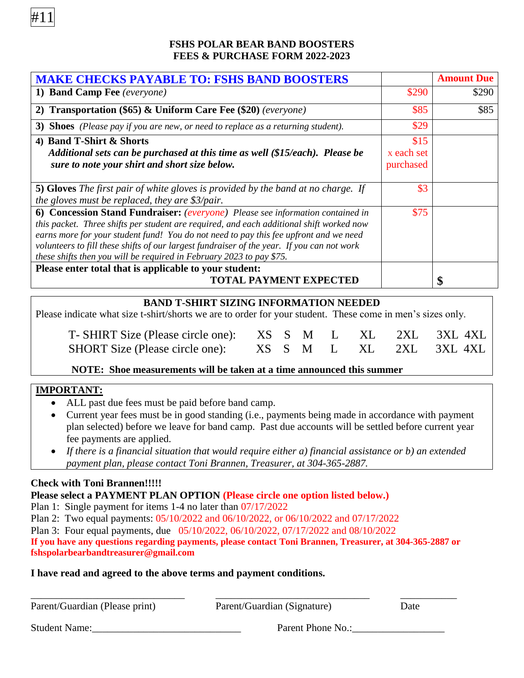

| <b>MAKE CHECKS PAYABLE TO: FSHS BAND BOOSTERS</b>                                                                     |            | <b>Amount Due</b> |
|-----------------------------------------------------------------------------------------------------------------------|------------|-------------------|
| 1) Band Camp Fee (everyone)                                                                                           | \$290      | \$290             |
| 2) Transportation (\$65) & Uniform Care Fee (\$20) (everyone)                                                         | \$85       | \$85              |
| 3) Shoes (Please pay if you are new, or need to replace as a returning student).                                      | \$29       |                   |
| 4) Band T-Shirt & Shorts                                                                                              | \$15       |                   |
| Additional sets can be purchased at this time as well (\$15/each). Please be                                          | x each set |                   |
| sure to note your shirt and short size below.                                                                         | purchased  |                   |
|                                                                                                                       |            |                   |
| <b>5) Gloves</b> The first pair of white gloves is provided by the band at no charge. If                              | \$3        |                   |
| the gloves must be replaced, they are $\frac{2}{\sqrt{2}}$ the gloves must be replaced, they are $\frac{2}{\sqrt{2}}$ |            |                   |
| 6) Concession Stand Fundraiser: (everyone) Please see information contained in                                        | \$75       |                   |
| this packet. Three shifts per student are required, and each additional shift worked now                              |            |                   |
| earns more for your student fund! You do not need to pay this fee upfront and we need                                 |            |                   |
| volunteers to fill these shifts of our largest fundraiser of the year. If you can not work                            |            |                   |
| these shifts then you will be required in February 2023 to pay \$75.                                                  |            |                   |
| Please enter total that is applicable to your student:                                                                |            |                   |
| <b>TOTAL PAYMENT EXPECTED</b>                                                                                         |            |                   |

#### **BAND T-SHIRT SIZING INFORMATION NEEDED**

Please indicate what size t-shirt/shorts we are to order for your student. These come in men's sizes only.

| T-SHIRT Size (Please circle one): XS S M L XL 2XL 3XL 4XL |  |  |  |  |
|-----------------------------------------------------------|--|--|--|--|
| SHORT Size (Please circle one): XS S M L XL 2XL 3XL 4XL   |  |  |  |  |

#### **NOTE: Shoe measurements will be taken at a time announced this summer**

#### **IMPORTANT:**

#11

- ALL past due fees must be paid before band camp.
- Current year fees must be in good standing (i.e., payments being made in accordance with payment plan selected) before we leave for band camp. Past due accounts will be settled before current year fee payments are applied.
- *If there is a financial situation that would require either a) financial assistance or b) an extended payment plan, please contact Toni Brannen, Treasurer, at 304-365-2887.*

#### **Check with Toni Brannen!!!!!**

**Please select a PAYMENT PLAN OPTION (Please circle one option listed below.)**

Plan 1: Single payment for items 1-4 no later than 07/17/2022

Plan 2: Two equal payments: 05/10/2022 and 06/10/2022, or 06/10/2022 and 07/17/2022

Plan 3: Four equal payments, due 05/10/2022, 06/10/2022, 07/17/2022 and 08/10/2022

**If you have any questions regarding payments, please contact Toni Brannen, Treasurer, at 304-365-2887 or fshspolarbearbandtreasurer@gmail.com** 

#### **I have read and agreed to the above terms and payment conditions.**

| Parent/Guardian (Please print) | Parent/Guardian (Signature) | Date |  |
|--------------------------------|-----------------------------|------|--|
| <b>Student Name:</b>           | Parent Phone No.:           |      |  |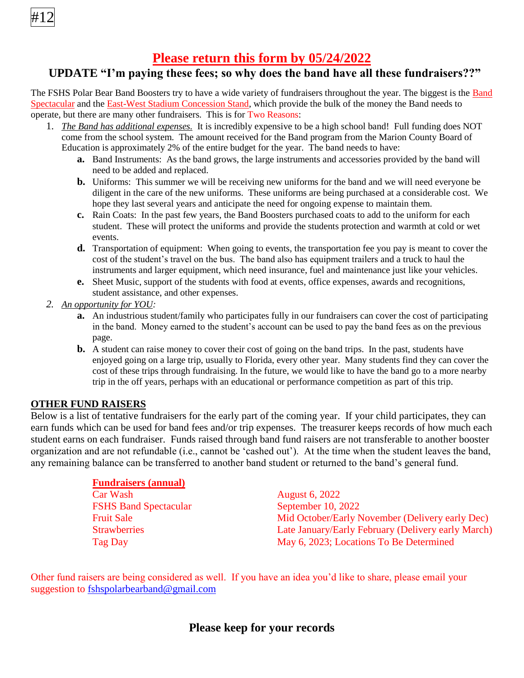#12

## **Please return this form by 05/24/2022**

## **UPDATE "I'm paying these fees; so why does the band have all these fundraisers??"**

The FSHS Polar Bear Band Boosters try to have a wide variety of fundraisers throughout the year. The biggest is the Band Spectacular and the East-West Stadium Concession Stand, which provide the bulk of the money the Band needs to operate, but there are many other fundraisers. This is for Two Reasons:

- 1. *The Band has additional expenses.* It is incredibly expensive to be a high school band! Full funding does NOT come from the school system. The amount received for the Band program from the Marion County Board of Education is approximately 2% of the entire budget for the year. The band needs to have:
	- **a.** Band Instruments: As the band grows, the large instruments and accessories provided by the band will need to be added and replaced.
	- **b.** Uniforms: This summer we will be receiving new uniforms for the band and we will need everyone be diligent in the care of the new uniforms. These uniforms are being purchased at a considerable cost. We hope they last several years and anticipate the need for ongoing expense to maintain them.
	- **c.** Rain Coats: In the past few years, the Band Boosters purchased coats to add to the uniform for each student. These will protect the uniforms and provide the students protection and warmth at cold or wet events.
	- **d.** Transportation of equipment: When going to events, the transportation fee you pay is meant to cover the cost of the student's travel on the bus. The band also has equipment trailers and a truck to haul the instruments and larger equipment, which need insurance, fuel and maintenance just like your vehicles.
	- **e.** Sheet Music, support of the students with food at events, office expenses, awards and recognitions, student assistance, and other expenses.
- *2. An opportunity for YOU:*
	- **a.** An industrious student/family who participates fully in our fundraisers can cover the cost of participating in the band. Money earned to the student's account can be used to pay the band fees as on the previous page.
	- **b.** A student can raise money to cover their cost of going on the band trips. In the past, students have enjoyed going on a large trip, usually to Florida, every other year. Many students find they can cover the cost of these trips through fundraising. In the future, we would like to have the band go to a more nearby trip in the off years, perhaps with an educational or performance competition as part of this trip.

#### **OTHER FUND RAISERS**

Below is a list of tentative fundraisers for the early part of the coming year. If your child participates, they can earn funds which can be used for band fees and/or trip expenses. The treasurer keeps records of how much each student earns on each fundraiser. Funds raised through band fund raisers are not transferable to another booster organization and are not refundable (i.e., cannot be 'cashed out'). At the time when the student leaves the band, any remaining balance can be transferred to another band student or returned to the band's general fund.

| <b>Fundraisers (annual)</b>  |                                                    |
|------------------------------|----------------------------------------------------|
| Car Wash                     | <b>August 6, 2022</b>                              |
| <b>FSHS Band Spectacular</b> | September 10, 2022                                 |
| <b>Fruit Sale</b>            | Mid October/Early November (Delivery early Dec)    |
| <b>Strawberries</b>          | Late January/Early February (Delivery early March) |
| <b>Tag Day</b>               | May 6, 2023; Locations To Be Determined            |

Other fund raisers are being considered as well. If you have an idea you'd like to share, please email your suggestion to [fshspolarbearband@gmail.com](mailto:fshspolarbearband@gmail.com) 

## **Please keep for your records**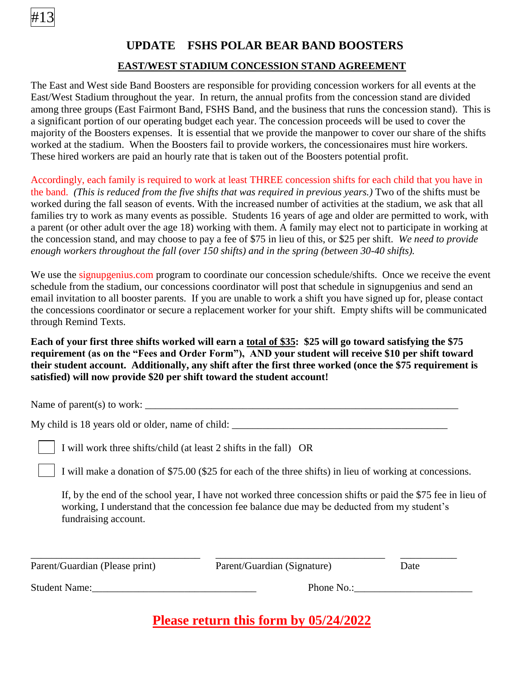

### **UPDATE FSHS POLAR BEAR BAND BOOSTERS**

#### **EAST/WEST STADIUM CONCESSION STAND AGREEMENT**

The East and West side Band Boosters are responsible for providing concession workers for all events at the East/West Stadium throughout the year. In return, the annual profits from the concession stand are divided among three groups (East Fairmont Band, FSHS Band, and the business that runs the concession stand). This is a significant portion of our operating budget each year. The concession proceeds will be used to cover the majority of the Boosters expenses. It is essential that we provide the manpower to cover our share of the shifts worked at the stadium. When the Boosters fail to provide workers, the concessionaires must hire workers. These hired workers are paid an hourly rate that is taken out of the Boosters potential profit.

Accordingly, each family is required to work at least THREE concession shifts for each child that you have in the band. *(This is reduced from the five shifts that was required in previous years.)* Two of the shifts must be worked during the fall season of events. With the increased number of activities at the stadium, we ask that all families try to work as many events as possible. Students 16 years of age and older are permitted to work, with a parent (or other adult over the age 18) working with them. A family may elect not to participate in working at the concession stand, and may choose to pay a fee of \$75 in lieu of this, or \$25 per shift. *We need to provide enough workers throughout the fall (over 150 shifts) and in the spring (between 30-40 shifts).*

We use the signupgenius.com program to coordinate our concession schedule/shifts. Once we receive the event schedule from the stadium, our concessions coordinator will post that schedule in signupgenius and send an email invitation to all booster parents. If you are unable to work a shift you have signed up for, please contact the concessions coordinator or secure a replacement worker for your shift. Empty shifts will be communicated through Remind Texts.

**Each of your first three shifts worked will earn a total of \$35: \$25 will go toward satisfying the \$75 requirement (as on the "Fees and Order Form"), AND your student will receive \$10 per shift toward their student account. Additionally, any shift after the first three worked (once the \$75 requirement is satisfied) will now provide \$20 per shift toward the student account!** 

Name of parent(s) to work:  $\Box$ 

My child is 18 years old or older, name of child:

I will work three shifts/child (at least 2 shifts in the fall) OR

I will make a donation of \$75.00 (\$25 for each of the three shifts) in lieu of working at concessions.

If, by the end of the school year, I have not worked three concession shifts or paid the \$75 fee in lieu of working, I understand that the concession fee balance due may be deducted from my student's fundraising account.

| Parent/Guardian (Please print) | Parent/Guardian (Signature) | Date |
|--------------------------------|-----------------------------|------|
| <b>Student Name:</b>           | Phone No.:                  |      |

\_\_\_\_\_\_\_\_\_\_\_\_\_\_\_\_\_\_\_\_\_\_\_\_\_\_\_\_\_\_\_\_\_ \_\_\_\_\_\_\_\_\_\_\_\_\_\_\_\_\_\_\_\_\_\_\_\_\_\_\_\_\_\_\_\_\_ \_\_\_\_\_\_\_\_\_\_\_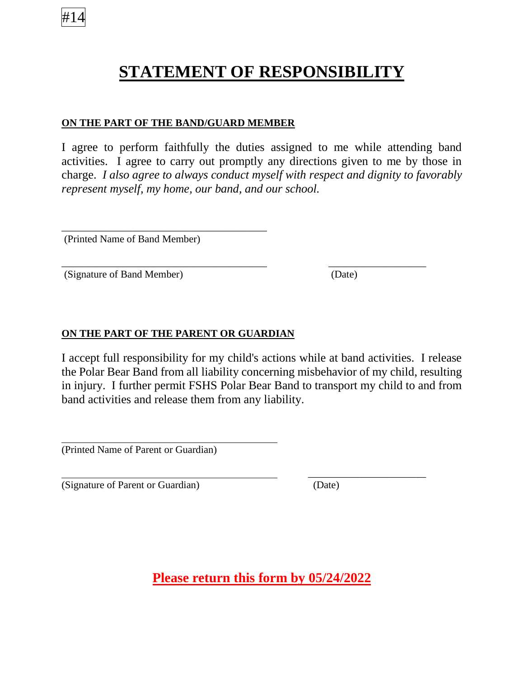## **STATEMENT OF RESPONSIBILITY**

#### **ON THE PART OF THE BAND/GUARD MEMBER**

I agree to perform faithfully the duties assigned to me while attending band activities. I agree to carry out promptly any directions given to me by those in charge. *I also agree to always conduct myself with respect and dignity to favorably represent myself, my home, our band, and our school.*

\_\_\_\_\_\_\_\_\_\_\_\_\_\_\_\_\_\_\_\_\_\_\_\_\_\_\_\_\_\_\_\_\_\_\_\_\_\_\_\_ \_\_\_\_\_\_\_\_\_\_\_\_\_\_\_\_\_\_\_

(Printed Name of Band Member)

\_\_\_\_\_\_\_\_\_\_\_\_\_\_\_\_\_\_\_\_\_\_\_\_\_\_\_\_\_\_\_\_\_\_\_\_\_\_\_\_

(Signature of Band Member) (Date)

### **ON THE PART OF THE PARENT OR GUARDIAN**

I accept full responsibility for my child's actions while at band activities. I release the Polar Bear Band from all liability concerning misbehavior of my child, resulting in injury. I further permit FSHS Polar Bear Band to transport my child to and from band activities and release them from any liability.

(Printed Name of Parent or Guardian)

(Signature of Parent or Guardian) (Date)

\_\_\_\_\_\_\_\_\_\_\_\_\_\_\_\_\_\_\_\_\_\_\_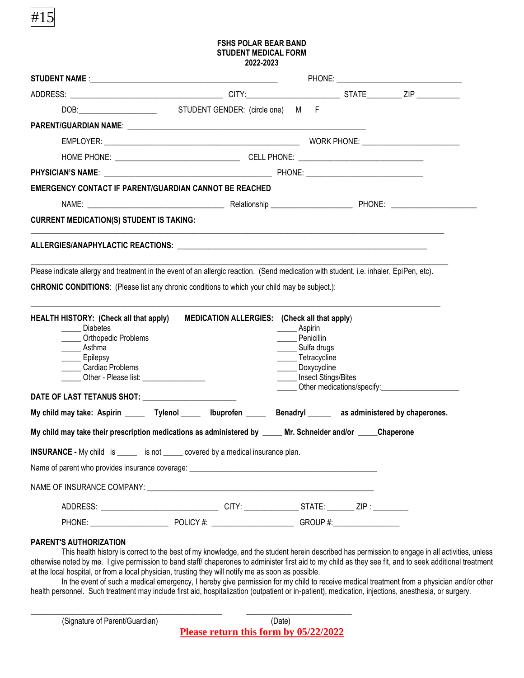#### **FSHS POLAR BEAR BAND STUDENT MEDICAL FORM 2022-2023**

| DOB: N F                                                                                                                                                                                                                                                                                                                                                                                                                           |                                                     |                               |                                                                                               |                                                          |
|------------------------------------------------------------------------------------------------------------------------------------------------------------------------------------------------------------------------------------------------------------------------------------------------------------------------------------------------------------------------------------------------------------------------------------|-----------------------------------------------------|-------------------------------|-----------------------------------------------------------------------------------------------|----------------------------------------------------------|
|                                                                                                                                                                                                                                                                                                                                                                                                                                    |                                                     |                               |                                                                                               |                                                          |
|                                                                                                                                                                                                                                                                                                                                                                                                                                    |                                                     |                               |                                                                                               |                                                          |
|                                                                                                                                                                                                                                                                                                                                                                                                                                    |                                                     |                               |                                                                                               |                                                          |
|                                                                                                                                                                                                                                                                                                                                                                                                                                    |                                                     |                               |                                                                                               |                                                          |
| <b>EMERGENCY CONTACT IF PARENT/GUARDIAN CANNOT BE REACHED</b>                                                                                                                                                                                                                                                                                                                                                                      |                                                     |                               |                                                                                               |                                                          |
|                                                                                                                                                                                                                                                                                                                                                                                                                                    |                                                     |                               |                                                                                               |                                                          |
| <b>CURRENT MEDICATION(S) STUDENT IS TAKING:</b>                                                                                                                                                                                                                                                                                                                                                                                    |                                                     |                               |                                                                                               |                                                          |
|                                                                                                                                                                                                                                                                                                                                                                                                                                    |                                                     |                               |                                                                                               |                                                          |
| Please indicate allergy and treatment in the event of an allergic reaction. (Send medication with student, i.e. inhaler, EpiPen, etc).<br><b>CHRONIC CONDITIONS:</b> (Please list any chronic conditions to which your child may be subject.):<br><b>HEALTH HISTORY: (Check all that apply)</b><br>Diabetes<br>Orthopedic Problems<br>_____ Asthma<br><b>Epilepsy</b><br>Cardiac Problems<br>Other - Please list: ________________ | <b>MEDICATION ALLERGIES:</b> (Check all that apply) | _______ Aspirin<br>Penicillin | ______ Sulfa drugs<br>______ Tetracycline<br>______ Doxycycline<br>______ Insect Stings/Bites |                                                          |
| DATE OF LAST TETANUS SHOT: ________________________                                                                                                                                                                                                                                                                                                                                                                                |                                                     |                               |                                                                                               | ______ Other medications/specify:_______________________ |
| My child may take: Aspirin _______ Tylenol _______ Ibuprofen ______ Benadryl ______ as administered by chaperones.                                                                                                                                                                                                                                                                                                                 |                                                     |                               |                                                                                               |                                                          |
| My child may take their prescription medications as administered by _____ Mr. Schneider and/or _____Chaperone                                                                                                                                                                                                                                                                                                                      |                                                     |                               |                                                                                               |                                                          |
| <b>INSURANCE</b> - My child is ______ is not _____ covered by a medical insurance plan.                                                                                                                                                                                                                                                                                                                                            |                                                     |                               |                                                                                               |                                                          |
|                                                                                                                                                                                                                                                                                                                                                                                                                                    |                                                     |                               |                                                                                               |                                                          |
|                                                                                                                                                                                                                                                                                                                                                                                                                                    |                                                     |                               |                                                                                               |                                                          |
| ADDRESS: __________________________________CITY: _______________STATE: ________ZIP : _________                                                                                                                                                                                                                                                                                                                                     |                                                     |                               |                                                                                               |                                                          |
|                                                                                                                                                                                                                                                                                                                                                                                                                                    |                                                     |                               |                                                                                               |                                                          |

#### **PARENT'S AUTHORIZATION**

#15

This health history is correct to the best of my knowledge, and the student herein described has permission to engage in all activities, unless otherwise noted by me. I give permission to band staff/ chaperones to administer first aid to my child as they see fit, and to seek additional treatment at the local hospital, or from a local physician, trusting they will notify me as soon as possible.

In the event of such a medical emergency, I hereby give permission for my child to receive medical treatment from a physician and/or other health personnel. Such treatment may include first aid, hospitalization (outpatient or in-patient), medication, injections, anesthesia, or surgery.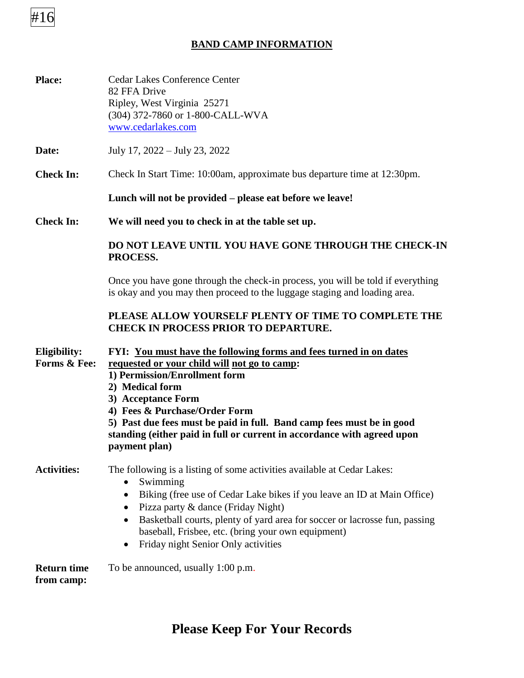# #16

## **BAND CAMP INFORMATION**

| <b>Place:</b>                    | <b>Cedar Lakes Conference Center</b><br>82 FFA Drive<br>Ripley, West Virginia 25271<br>(304) 372-7860 or 1-800-CALL-WVA<br>www.cedarlakes.com                                                                                                                                                                                                                                                                                    |
|----------------------------------|----------------------------------------------------------------------------------------------------------------------------------------------------------------------------------------------------------------------------------------------------------------------------------------------------------------------------------------------------------------------------------------------------------------------------------|
| Date:                            | July 17, 2022 – July 23, 2022                                                                                                                                                                                                                                                                                                                                                                                                    |
| <b>Check In:</b>                 | Check In Start Time: 10:00am, approximate bus departure time at 12:30pm.                                                                                                                                                                                                                                                                                                                                                         |
|                                  | Lunch will not be provided – please eat before we leave!                                                                                                                                                                                                                                                                                                                                                                         |
| <b>Check In:</b>                 | We will need you to check in at the table set up.                                                                                                                                                                                                                                                                                                                                                                                |
|                                  | DO NOT LEAVE UNTIL YOU HAVE GONE THROUGH THE CHECK-IN<br>PROCESS.                                                                                                                                                                                                                                                                                                                                                                |
|                                  | Once you have gone through the check-in process, you will be told if everything<br>is okay and you may then proceed to the luggage staging and loading area.                                                                                                                                                                                                                                                                     |
|                                  | PLEASE ALLOW YOURSELF PLENTY OF TIME TO COMPLETE THE<br><b>CHECK IN PROCESS PRIOR TO DEPARTURE.</b>                                                                                                                                                                                                                                                                                                                              |
| Eligibility:<br>Forms & Fee:     | FYI: You must have the following forms and fees turned in on dates<br>requested or your child will not go to camp:<br>1) Permission/Enrollment form<br>2) Medical form<br>3) Acceptance Form<br>4) Fees & Purchase/Order Form<br>5) Past due fees must be paid in full. Band camp fees must be in good<br>standing (either paid in full or current in accordance with agreed upon<br>payment plan)                               |
| <b>Activities:</b>               | The following is a listing of some activities available at Cedar Lakes:<br>Swimming<br>$\bullet$<br>Biking (free use of Cedar Lake bikes if you leave an ID at Main Office)<br>٠<br>Pizza party & dance (Friday Night)<br>٠<br>Basketball courts, plenty of yard area for soccer or lacrosse fun, passing<br>$\bullet$<br>baseball, Frisbee, etc. (bring your own equipment)<br>Friday night Senior Only activities<br>$\bullet$ |
| <b>Return time</b><br>from camp: | To be announced, usually 1:00 p.m.                                                                                                                                                                                                                                                                                                                                                                                               |

## **Please Keep For Your Records**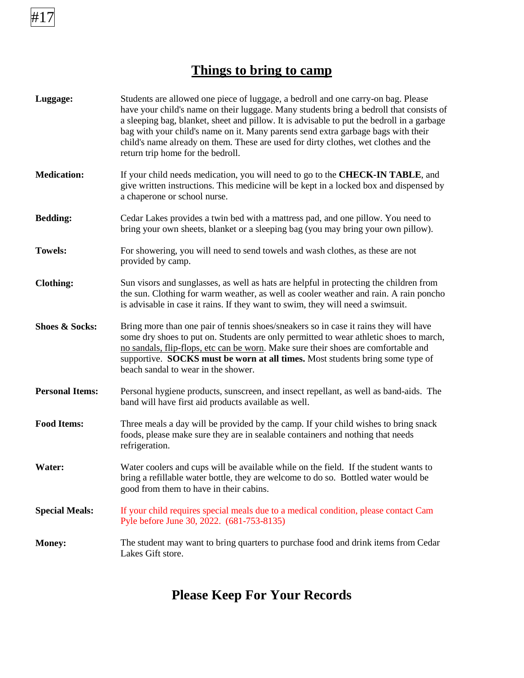## **Things to bring to camp**

| Luggage:                  | Students are allowed one piece of luggage, a bedroll and one carry-on bag. Please<br>have your child's name on their luggage. Many students bring a bedroll that consists of<br>a sleeping bag, blanket, sheet and pillow. It is advisable to put the bedroll in a garbage<br>bag with your child's name on it. Many parents send extra garbage bags with their<br>child's name already on them. These are used for dirty clothes, wet clothes and the<br>return trip home for the bedroll. |
|---------------------------|---------------------------------------------------------------------------------------------------------------------------------------------------------------------------------------------------------------------------------------------------------------------------------------------------------------------------------------------------------------------------------------------------------------------------------------------------------------------------------------------|
| <b>Medication:</b>        | If your child needs medication, you will need to go to the <b>CHECK-IN TABLE</b> , and<br>give written instructions. This medicine will be kept in a locked box and dispensed by<br>a chaperone or school nurse.                                                                                                                                                                                                                                                                            |
| <b>Bedding:</b>           | Cedar Lakes provides a twin bed with a mattress pad, and one pillow. You need to<br>bring your own sheets, blanket or a sleeping bag (you may bring your own pillow).                                                                                                                                                                                                                                                                                                                       |
| <b>Towels:</b>            | For showering, you will need to send towels and wash clothes, as these are not<br>provided by camp.                                                                                                                                                                                                                                                                                                                                                                                         |
| <b>Clothing:</b>          | Sun visors and sunglasses, as well as hats are helpful in protecting the children from<br>the sun. Clothing for warm weather, as well as cooler weather and rain. A rain poncho<br>is advisable in case it rains. If they want to swim, they will need a swimsuit.                                                                                                                                                                                                                          |
| <b>Shoes &amp; Socks:</b> | Bring more than one pair of tennis shoes/sneakers so in case it rains they will have<br>some dry shoes to put on. Students are only permitted to wear athletic shoes to march,<br>no sandals, flip-flops, etc can be worn. Make sure their shoes are comfortable and<br>supportive. SOCKS must be worn at all times. Most students bring some type of<br>beach sandal to wear in the shower.                                                                                                |
| <b>Personal Items:</b>    | Personal hygiene products, sunscreen, and insect repellant, as well as band-aids. The<br>band will have first aid products available as well.                                                                                                                                                                                                                                                                                                                                               |
| <b>Food Items:</b>        | Three meals a day will be provided by the camp. If your child wishes to bring snack<br>foods, please make sure they are in sealable containers and nothing that needs<br>refrigeration.                                                                                                                                                                                                                                                                                                     |
| Water:                    | Water coolers and cups will be available while on the field. If the student wants to<br>bring a refillable water bottle, they are welcome to do so. Bottled water would be<br>good from them to have in their cabins.                                                                                                                                                                                                                                                                       |
| <b>Special Meals:</b>     | If your child requires special meals due to a medical condition, please contact Cam<br>Pyle before June 30, 2022. (681-753-8135)                                                                                                                                                                                                                                                                                                                                                            |
| <b>Money:</b>             | The student may want to bring quarters to purchase food and drink items from Cedar<br>Lakes Gift store.                                                                                                                                                                                                                                                                                                                                                                                     |

## **Please Keep For Your Records**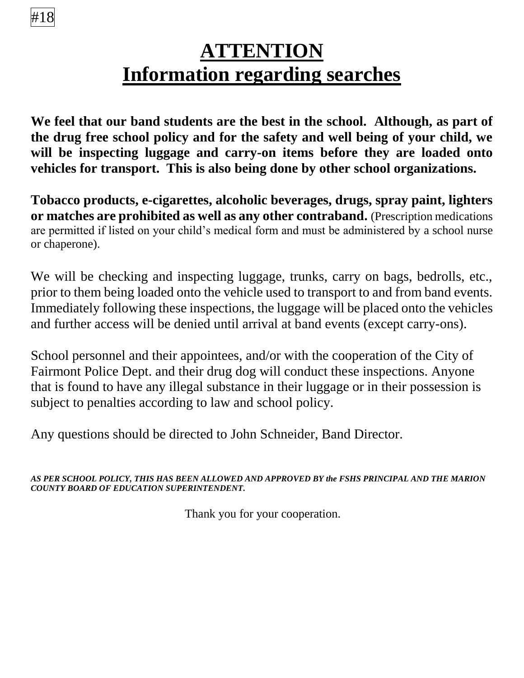#18

# **ATTENTION Information regarding searches**

**We feel that our band students are the best in the school. Although, as part of the drug free school policy and for the safety and well being of your child, we will be inspecting luggage and carry-on items before they are loaded onto vehicles for transport. This is also being done by other school organizations.**

**Tobacco products, e-cigarettes, alcoholic beverages, drugs, spray paint, lighters or matches are prohibited as well as any other contraband.** (Prescription medications are permitted if listed on your child's medical form and must be administered by a school nurse or chaperone).

We will be checking and inspecting luggage, trunks, carry on bags, bedrolls, etc., prior to them being loaded onto the vehicle used to transport to and from band events. Immediately following these inspections, the luggage will be placed onto the vehicles and further access will be denied until arrival at band events (except carry-ons).

School personnel and their appointees, and/or with the cooperation of the City of Fairmont Police Dept. and their drug dog will conduct these inspections. Anyone that is found to have any illegal substance in their luggage or in their possession is subject to penalties according to law and school policy.

Any questions should be directed to John Schneider, Band Director.

*AS PER SCHOOL POLICY, THIS HAS BEEN ALLOWED AND APPROVED BY the FSHS PRINCIPAL AND THE MARION COUNTY BOARD OF EDUCATION SUPERINTENDENT.*

Thank you for your cooperation.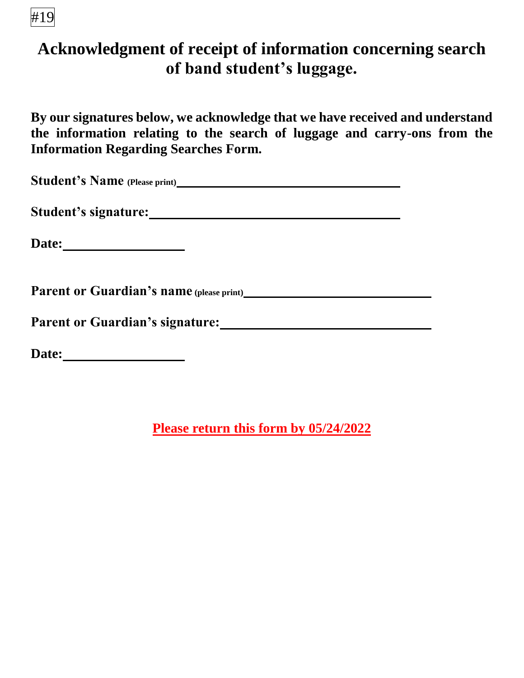# #19

# **Acknowledgment of receipt of information concerning search of band student's luggage.**

**By our signatures below, we acknowledge that we have received and understand the information relating to the search of luggage and carry-ons from the Information Regarding Searches Form.**

**Student's Name (Please print)**

**Student's signature:**

**Date:**

**Parent or Guardian's name (please print)**

Parent or Guardian's signature: Manual Communication of Guardian's signature:

**Date:**